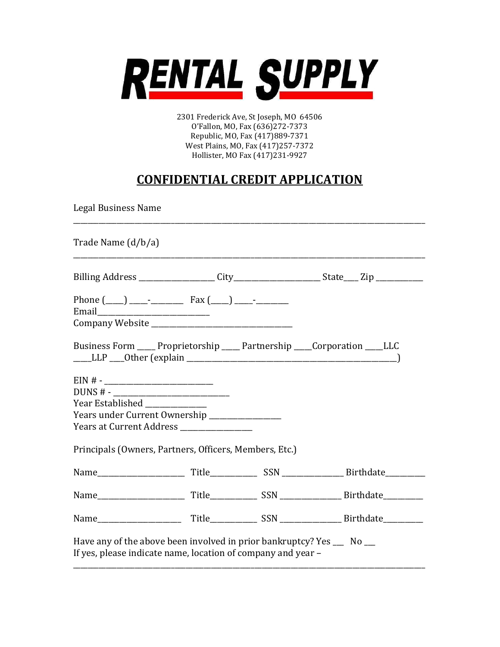

2301 Frederick Ave, St Joseph, MO 64506 O'Fallon, MO, Fax (636)272-7373 Republic, MO, Fax (417)889-7371 West Plains, MO, Fax (417)257-7372 Hollister, MO Fax (417)231-9927

## CONFIDENTIAL CREDIT APPLICATION

Legal Business Name

| Trade Name (d/b/a)                                                                                                                    |  |  |
|---------------------------------------------------------------------------------------------------------------------------------------|--|--|
|                                                                                                                                       |  |  |
|                                                                                                                                       |  |  |
| Business Form _____ Proprietorship _____ Partnership ____Corporation ____LLC                                                          |  |  |
|                                                                                                                                       |  |  |
| $DUNS # -$                                                                                                                            |  |  |
| Year Established _____________                                                                                                        |  |  |
| Years under Current Ownership ______________                                                                                          |  |  |
| Years at Current Address ___________________                                                                                          |  |  |
| Principals (Owners, Partners, Officers, Members, Etc.)                                                                                |  |  |
|                                                                                                                                       |  |  |
|                                                                                                                                       |  |  |
|                                                                                                                                       |  |  |
| Have any of the above been involved in prior bankruptcy? Yes __ No __<br>If yes, please indicate name, location of company and year - |  |  |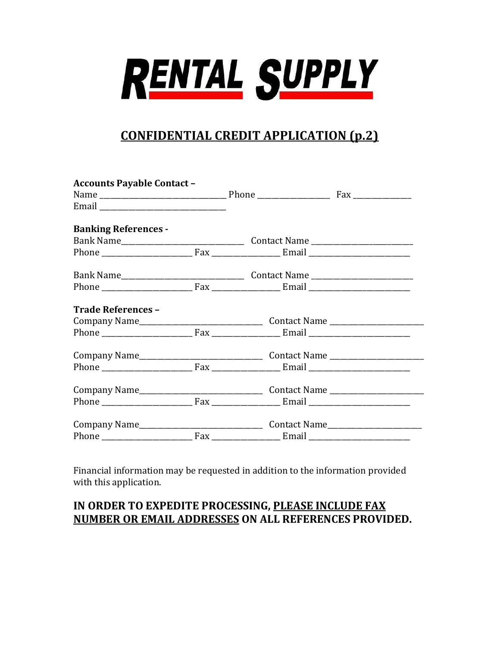

## CONFIDENTIAL CREDIT APPLICATION (p.2)

| <b>Accounts Payable Contact -</b> |  |  |
|-----------------------------------|--|--|
|                                   |  |  |
|                                   |  |  |
| <b>Banking References -</b>       |  |  |
|                                   |  |  |
|                                   |  |  |
|                                   |  |  |
|                                   |  |  |
| <b>Trade References -</b>         |  |  |
|                                   |  |  |
|                                   |  |  |
|                                   |  |  |
|                                   |  |  |
|                                   |  |  |
|                                   |  |  |
|                                   |  |  |
|                                   |  |  |

Financial information may be requested in addition to the information provided with this application.

### IN ORDER TO EXPEDITE PROCESSING, PLEASE INCLUDE FAX NUMBER OR EMAIL ADDRESSES ON ALL REFERENCES PROVIDED.